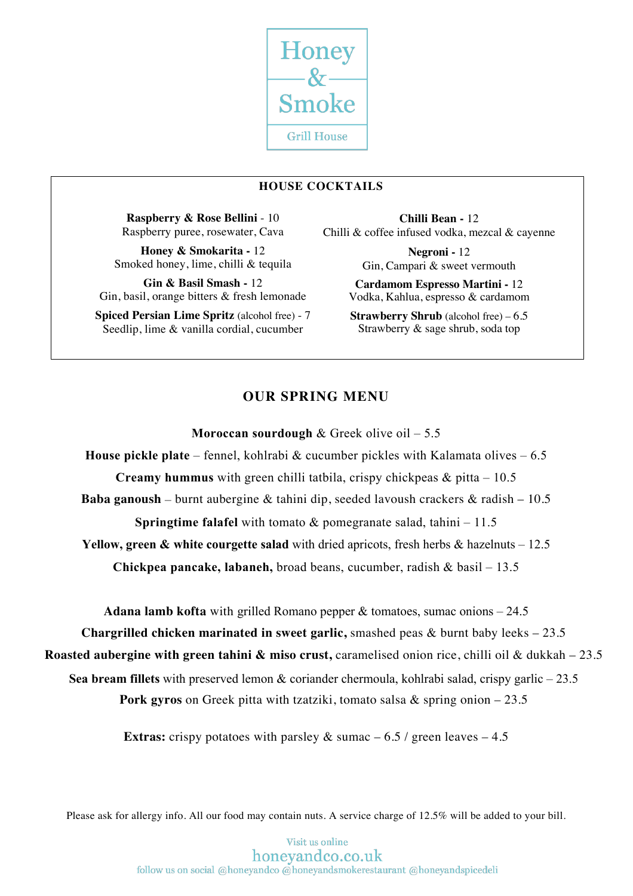

# **HOUSE COCKTAILS**

**Raspberry & Rose Bellini** - 10 Raspberry puree, rosewater, Cava

**Honey & Smokarita -** 12 Smoked honey, lime, chilli & tequila

**Gin & Basil Smash -** 12 Gin, basil, orange bitters & fresh lemonade

**Spiced Persian Lime Spritz** (alcohol free) - 7 Seedlip, lime & vanilla cordial, cucumber

**Chilli Bean -** 12 Chilli & coffee infused vodka, mezcal & cayenne

> **Negroni -** 12 Gin, Campari & sweet vermouth

**Cardamom Espresso Martini -** 12 Vodka, Kahlua, espresso & cardamom

**Strawberry Shrub** (alcohol free) – 6.5 Strawberry & sage shrub, soda top

# **OUR SPRING MENU**

**Moroccan sourdough** & Greek olive oil – 5.5

**House pickle plate** – fennel, kohlrabi & cucumber pickles with Kalamata olives – 6.5 **Creamy hummus** with green chilli tatbila, crispy chickpeas & pitta – 10.5 **Baba ganoush** – burnt aubergine & tahini dip, seeded lavoush crackers & radish – 10.5 **Springtime falafel** with tomato & pomegranate salad, tahini – 11.5 **Yellow, green & white courgette salad** with dried apricots, fresh herbs & hazelnuts – 12.5 **Honey & Smokarita Creamy hummus** with green chilli tatbila, crispy chickpeas & pitta – 10.5 **Cardamom Espresso Martini**

**Chickpea pancake, labaneh,** broad beans, cucumber, radish & basil – 13.5

**Adana lamb kofta** with grilled Romano pepper & tomatoes, sumac onions – 24.5

**Chargrilled chicken marinated in sweet garlic,** smashed peas & burnt baby leeks – 23.5

**Roasted aubergine with green tahini & miso crust, caramelised onion rice, chilli oil & dukkah – 23.5** 

**Sea bream fillets** with preserved lemon & coriander chermoula, kohlrabi salad, crispy garlic – 23.5

**Pork gyros** on Greek pitta with tzatziki, tomato salsa & spring onion – 23.5

**Extras:** crispy potatoes with parsley  $\&$  sumac  $-6.5$  / green leaves  $-4.5$ 

Please ask for allergy info. All our food may contain nuts. A service charge of 12.5% will be added to your bill.